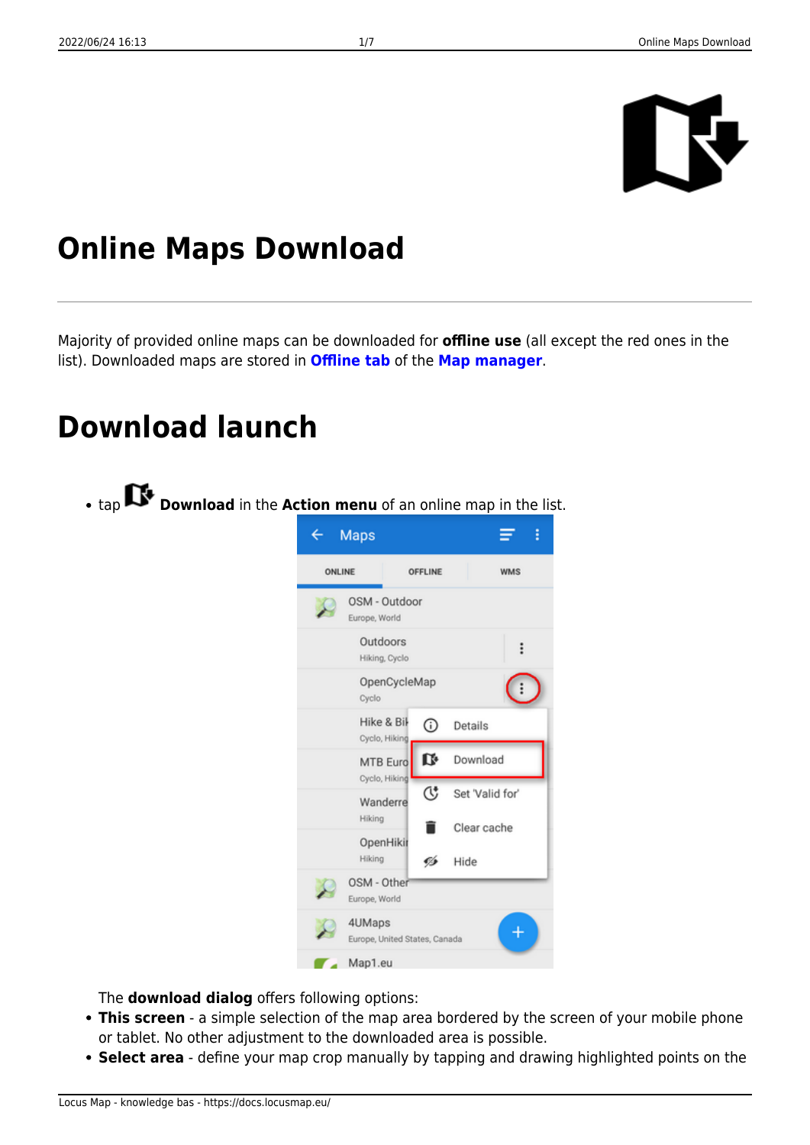

# **Online Maps Download**

Majority of provided online maps can be downloaded for **offline use** (all except the red ones in the list). Downloaded maps are stored in **[Offline tab](https://docs.locusmap.eu/doku.php?id=manual:user_guide:maps_offline)** of the **[Map manager](https://docs.locusmap.eu/doku.php?id=manual:user_guide:maps_mmanager)**.

# **Download launch**

tap **Download** in the **Action menu** of an online map in the list.  $\overline{\leftarrow}$ Maps Ξ ŧ ONLINE OFFLINE **WMS** OSM - Outdoor Europe, World Outdoors  $\vdots$ Hiking, Cyclo OpenCycleMap  $\vdots$ Cyclo Hike & Bil  $\odot$ Details Cyclo, Hiking D Download MTB Euro Cyclo, Hiking C Set 'Valid for' Wanderre Hiking Clear cache OpenHiki Hiking Ø Hide OSM - Other Europe, World 4UMaps Europe, United States, Canada

The **download dialog** offers following options:

**This screen** - a simple selection of the map area bordered by the screen of your mobile phone or tablet. No other adjustment to the downloaded area is possible.

Map1.eu

**Select area** - define your map crop manually by tapping and drawing highlighted points on the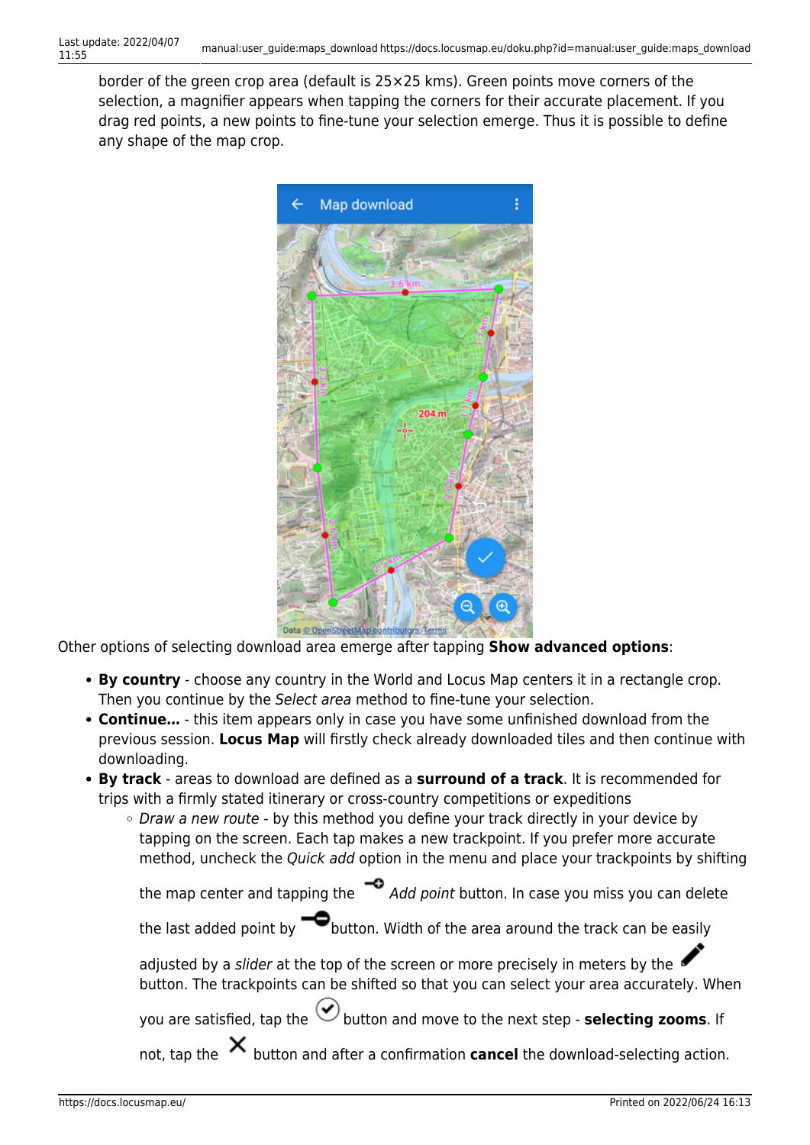border of the green crop area (default is 25×25 kms). Green points move corners of the selection, a magnifier appears when tapping the corners for their accurate placement. If you drag red points, a new points to fine-tune your selection emerge. Thus it is possible to define any shape of the map crop.



Other options of selecting download area emerge after tapping **Show advanced options**:

- **By country** choose any country in the World and Locus Map centers it in a rectangle crop. Then you continue by the Select area method to fine-tune your selection.
- **Continue…** this item appears only in case you have some unfinished download from the previous session. **Locus Map** will firstly check already downloaded tiles and then continue with downloading.
- **By track** areas to download are defined as a **surround of a track**. It is recommended for trips with a firmly stated itinerary or cross-country competitions or expeditions
	- Draw a new route by this method you define your track directly in your device by tapping on the screen. Each tap makes a new trackpoint. If you prefer more accurate method, uncheck the Quick add option in the menu and place your trackpoints by shifting

```
the map center and tapping the \bigcirc Add point button. In case you miss you can delete
```
the last added point by  $\blacksquare$  button. Width of the area around the track can be easily

adjusted by a slider at the top of the screen or more precisely in meters by the button. The trackpoints can be shifted so that you can select your area accurately. When

you are satisfied, tap the **button and move to the next step - selecting zooms**. If

not, tap the  $\lambda$  button and after a confirmation **cancel** the download-selecting action.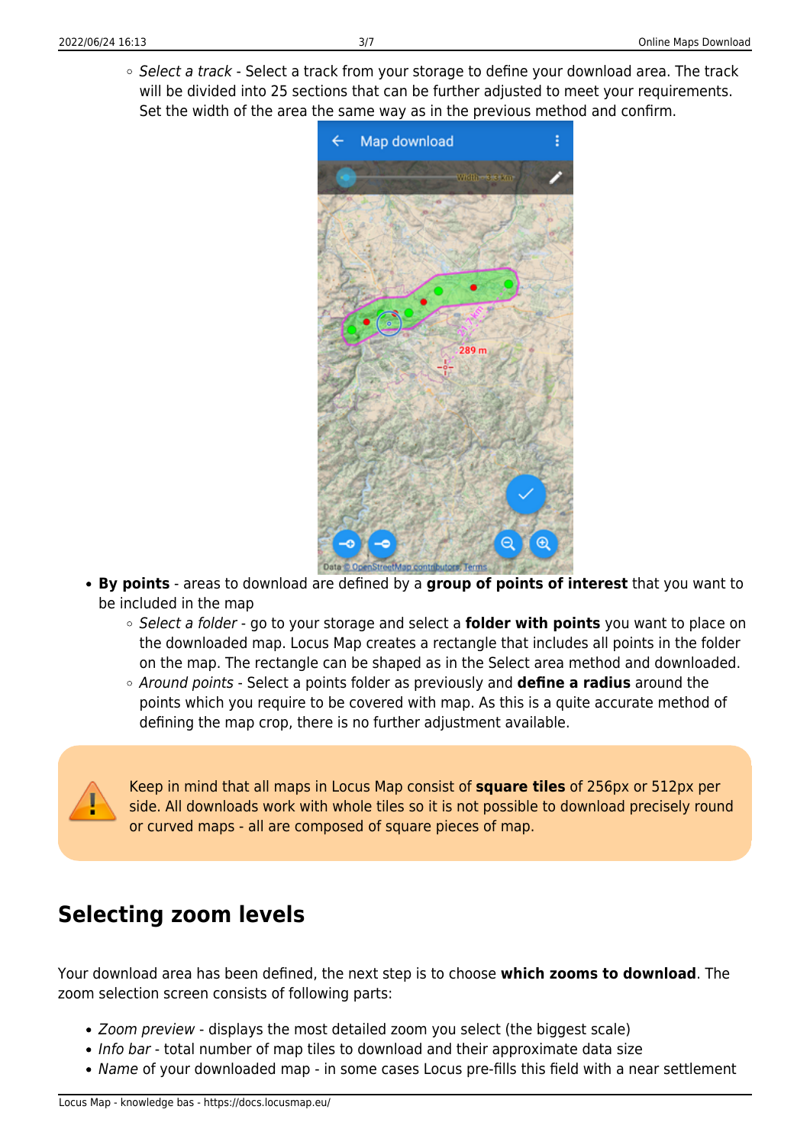○ Select a track - Select a track from your storage to define your download area. The track will be divided into 25 sections that can be further adjusted to meet your requirements. Set the width of the area the same way as in the previous method and confirm.



- **By points** areas to download are defined by a **group of points of interest** that you want to be included in the map
	- Select a folder go to your storage and select a **folder with points** you want to place on the downloaded map. Locus Map creates a rectangle that includes all points in the folder on the map. The rectangle can be shaped as in the Select area method and downloaded.
	- Around points Select a points folder as previously and **define a radius** around the points which you require to be covered with map. As this is a quite accurate method of defining the map crop, there is no further adjustment available.

Keep in mind that all maps in Locus Map consist of **square tiles** of 256px or 512px per side. All downloads work with whole tiles so it is not possible to download precisely round or curved maps - all are composed of square pieces of map.

### **Selecting zoom levels**

Your download area has been defined, the next step is to choose **which zooms to download**. The zoom selection screen consists of following parts:

- Zoom preview displays the most detailed zoom you select (the biggest scale)
- Info bar total number of map tiles to download and their approximate data size
- Name of your downloaded map in some cases Locus pre-fills this field with a near settlement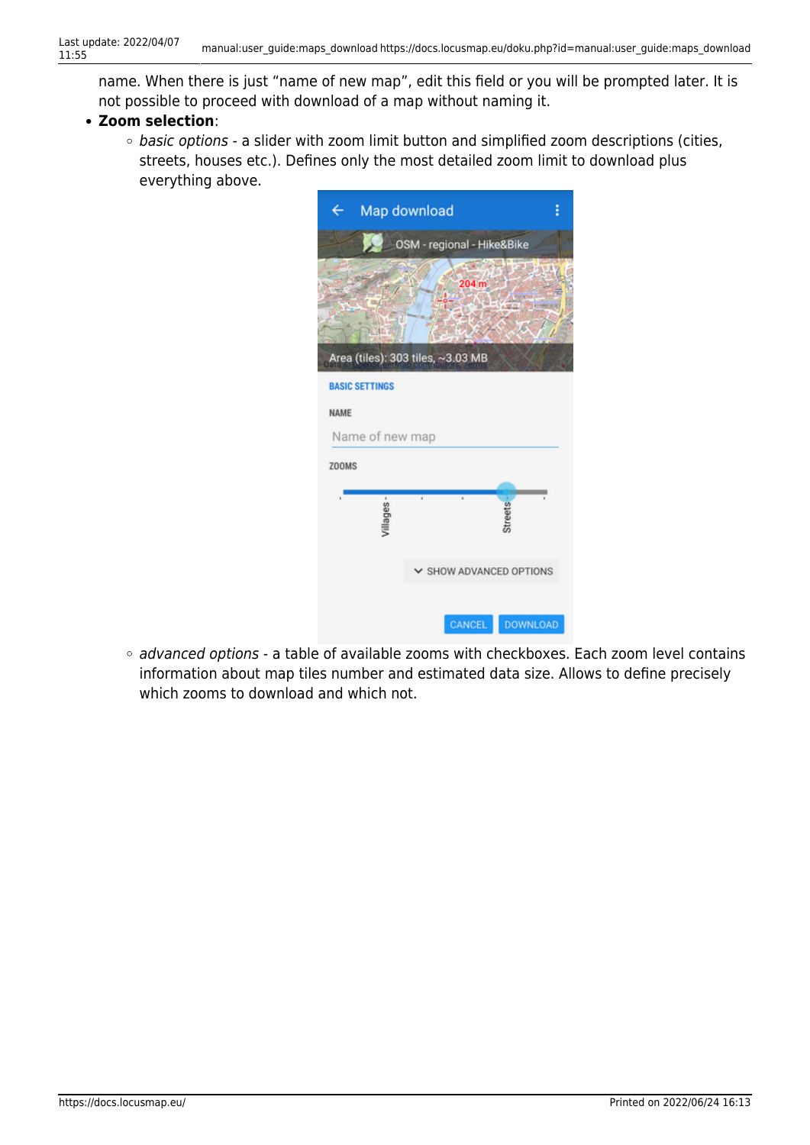name. When there is just "name of new map", edit this field or you will be prompted later. It is not possible to proceed with download of a map without naming it.

#### **Zoom selection**:

o basic options - a slider with zoom limit button and simplified zoom descriptions (cities, streets, houses etc.). Defines only the most detailed zoom limit to download plus everything above.



o advanced options - a table of available zooms with checkboxes. Each zoom level contains information about map tiles number and estimated data size. Allows to define precisely which zooms to download and which not.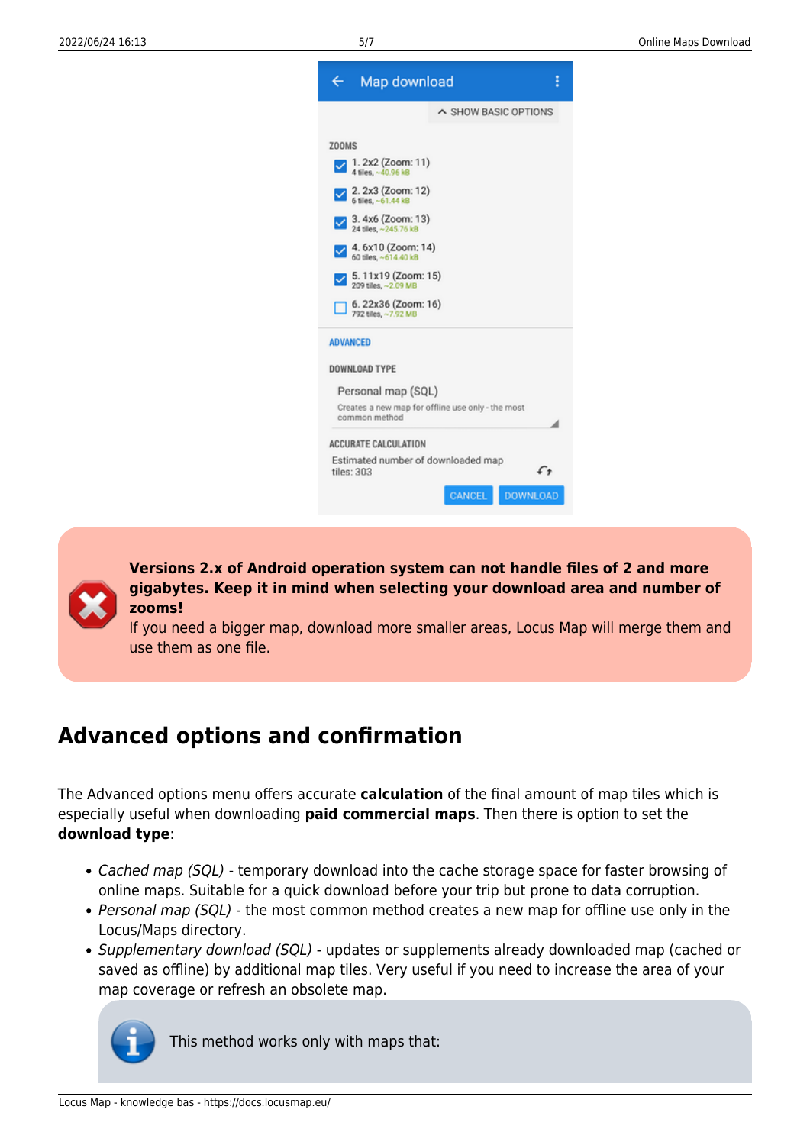

**Versions 2.x of Android operation system can not handle files of 2 and more gigabytes. Keep it in mind when selecting your download area and number of zooms!**

If you need a bigger map, download more smaller areas, Locus Map will merge them and use them as one file.

## **Advanced options and confirmation**

The Advanced options menu offers accurate **calculation** of the final amount of map tiles which is especially useful when downloading **paid commercial maps**. Then there is option to set the **download type**:

- Cached map (SQL) temporary download into the cache storage space for faster browsing of online maps. Suitable for a quick download before your trip but prone to data corruption.
- Personal map (SQL) the most common method creates a new map for offline use only in the Locus/Maps directory.
- Supplementary download (SQL) updates or supplements already downloaded map (cached or saved as offline) by additional map tiles. Very useful if you need to increase the area of your map coverage or refresh an obsolete map.



This method works only with maps that: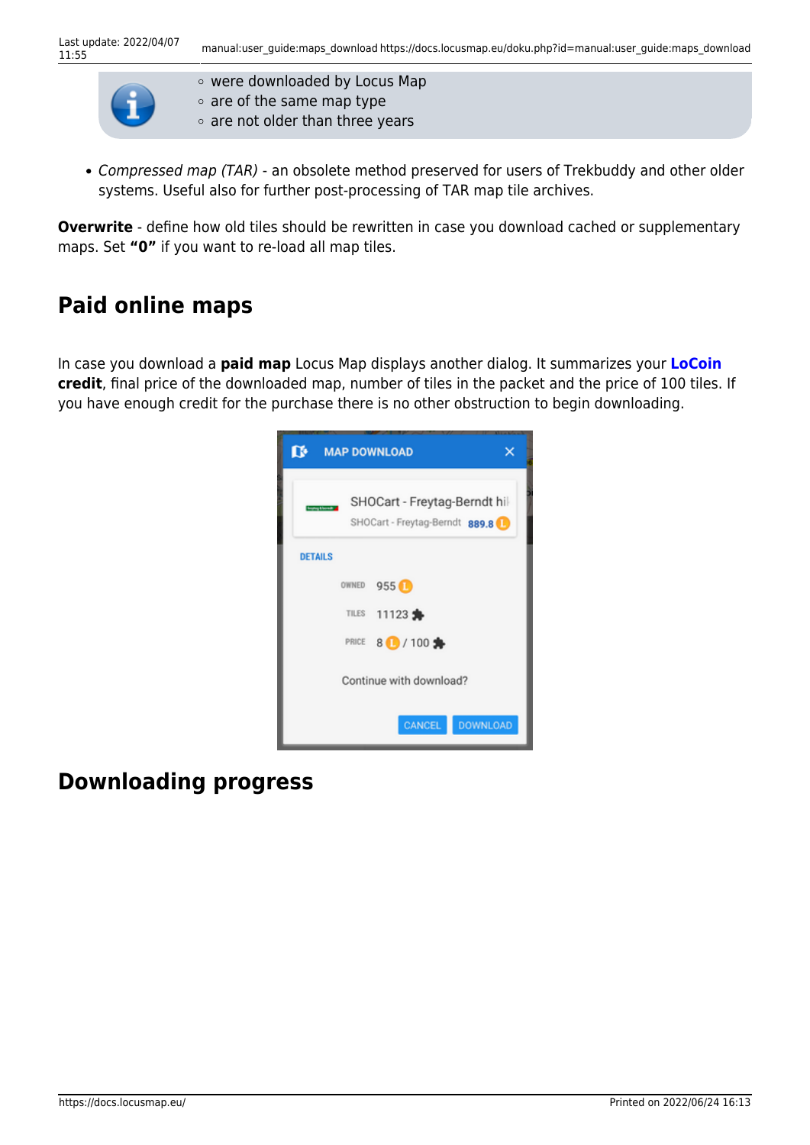

were downloaded by Locus Map

- $\circ$  are of the same map type
- $\circ$  are not older than three years
- Compressed map (TAR) an obsolete method preserved for users of Trekbuddy and other older systems. Useful also for further post-processing of TAR map tile archives.

**Overwrite** - define how old tiles should be rewritten in case you download cached or supplementary maps. Set **"0"** if you want to re-load all map tiles.

## **Paid online maps**

In case you download a **paid map** Locus Map displays another dialog. It summarizes your **[LoCoin](https://docs.locusmap.eu/doku.php?id=manual:user_guide:locus_store:locoins) credit**, final price of the downloaded map, number of tiles in the packet and the price of 100 tiles. If you have enough credit for the purchase there is no other obstruction to begin downloading.



### **Downloading progress**